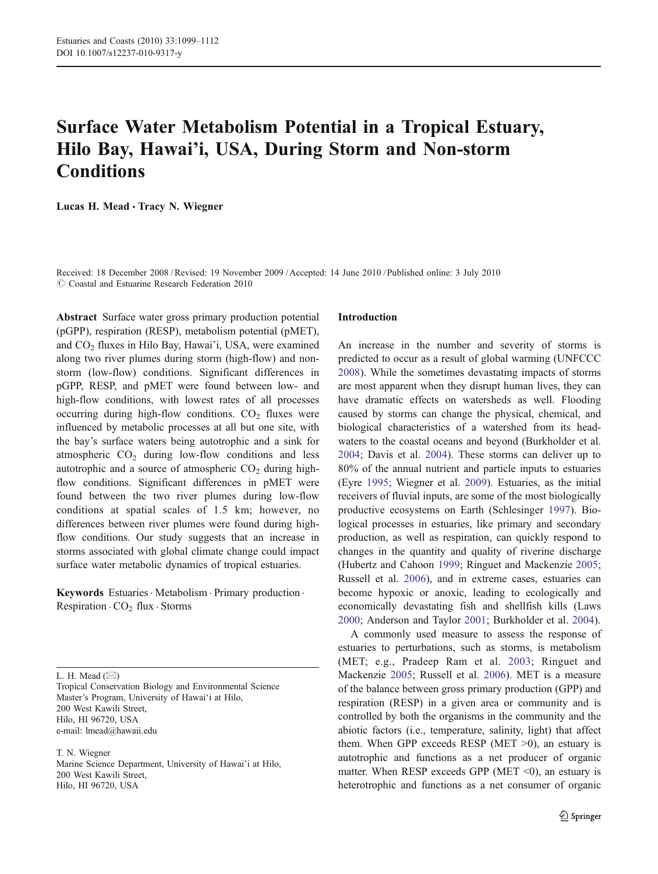# Surface Water Metabolism Potential in a Tropical Estuary, Hilo Bay, Hawai'i, USA, During Storm and Non-storm **Conditions**

Lucas H. Mead · Tracy N. Wiegner

Received: 18 December 2008 /Revised: 19 November 2009 /Accepted: 14 June 2010 / Published online: 3 July 2010  $\odot$  Coastal and Estuarine Research Federation 2010

Abstract Surface water gross primary production potential (pGPP), respiration (RESP), metabolism potential (pMET), and  $CO<sub>2</sub>$  fluxes in Hilo Bay, Hawai'i, USA, were examined along two river plumes during storm (high-flow) and nonstorm (low-flow) conditions. Significant differences in pGPP, RESP, and pMET were found between low- and high-flow conditions, with lowest rates of all processes occurring during high-flow conditions.  $CO<sub>2</sub>$  fluxes were influenced by metabolic processes at all but one site, with the bay's surface waters being autotrophic and a sink for atmospheric  $CO<sub>2</sub>$  during low-flow conditions and less autotrophic and a source of atmospheric  $CO<sub>2</sub>$  during highflow conditions. Significant differences in pMET were found between the two river plumes during low-flow conditions at spatial scales of 1.5 km; however, no differences between river plumes were found during highflow conditions. Our study suggests that an increase in storms associated with global climate change could impact surface water metabolic dynamics of tropical estuaries.

Keywords Estuaries · Metabolism · Primary production · Respiration  $\cdot$  CO<sub>2</sub> flux  $\cdot$  Storms

L. H. Mead  $(\boxtimes)$ 

Tropical Conservation Biology and Environmental Science Master's Program, University of Hawai'i at Hilo, 200 West Kawili Street, Hilo, HI 96720, USA e-mail: lmead@hawaii.edu

T. N. Wiegner Marine Science Department, University of Hawai'i at Hilo, 200 West Kawili Street, Hilo, HI 96720, USA

## Introduction

An increase in the number and severity of storms is predicted to occur as a result of global warming (UNFCCC [2008](#page-13-0)). While the sometimes devastating impacts of storms are most apparent when they disrupt human lives, they can have dramatic effects on watersheds as well. Flooding caused by storms can change the physical, chemical, and biological characteristics of a watershed from its headwaters to the coastal oceans and beyond (Burkholder et al. [2004](#page-12-0); Davis et al. [2004](#page-12-0)). These storms can deliver up to 80% of the annual nutrient and particle inputs to estuaries (Eyre [1995;](#page-12-0) Wiegner et al. [2009\)](#page-13-0). Estuaries, as the initial receivers of fluvial inputs, are some of the most biologically productive ecosystems on Earth (Schlesinger [1997](#page-13-0)). Biological processes in estuaries, like primary and secondary production, as well as respiration, can quickly respond to changes in the quantity and quality of riverine discharge (Hubertz and Cahoon [1999](#page-12-0); Ringuet and Mackenzie [2005;](#page-13-0) Russell et al. [2006\)](#page-13-0), and in extreme cases, estuaries can become hypoxic or anoxic, leading to ecologically and economically devastating fish and shellfish kills (Laws [2000](#page-12-0); Anderson and Taylor [2001;](#page-11-0) Burkholder et al. [2004](#page-12-0)).

A commonly used measure to assess the response of estuaries to perturbations, such as storms, is metabolism (MET; e.g., Pradeep Ram et al. [2003;](#page-13-0) Ringuet and Mackenzie [2005](#page-13-0); Russell et al. [2006](#page-13-0)). MET is a measure of the balance between gross primary production (GPP) and respiration (RESP) in a given area or community and is controlled by both the organisms in the community and the abiotic factors (i.e., temperature, salinity, light) that affect them. When GPP exceeds RESP (MET  $>0$ ), an estuary is autotrophic and functions as a net producer of organic matter. When RESP exceeds GPP (MET  $\leq 0$ ), an estuary is heterotrophic and functions as a net consumer of organic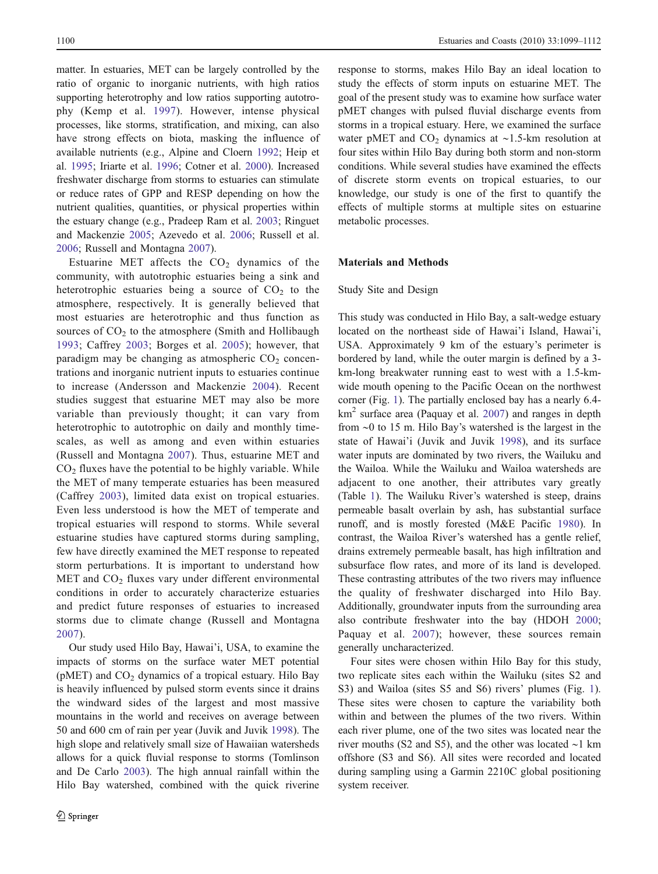matter. In estuaries, MET can be largely controlled by the ratio of organic to inorganic nutrients, with high ratios supporting heterotrophy and low ratios supporting autotrophy (Kemp et al. [1997\)](#page-12-0). However, intense physical processes, like storms, stratification, and mixing, can also have strong effects on biota, masking the influence of available nutrients (e.g., Alpine and Cloern [1992](#page-11-0); Heip et al. [1995](#page-12-0); Iriarte et al. [1996;](#page-12-0) Cotner et al. [2000](#page-12-0)). Increased freshwater discharge from storms to estuaries can stimulate or reduce rates of GPP and RESP depending on how the nutrient qualities, quantities, or physical properties within the estuary change (e.g., Pradeep Ram et al. [2003;](#page-13-0) Ringuet and Mackenzie [2005](#page-13-0); Azevedo et al. [2006](#page-11-0); Russell et al. [2006;](#page-13-0) Russell and Montagna [2007](#page-13-0)).

Estuarine MET affects the  $CO<sub>2</sub>$  dynamics of the community, with autotrophic estuaries being a sink and heterotrophic estuaries being a source of  $CO<sub>2</sub>$  to the atmosphere, respectively. It is generally believed that most estuaries are heterotrophic and thus function as sources of  $CO<sub>2</sub>$  to the atmosphere (Smith and Hollibaugh [1993;](#page-13-0) Caffrey [2003;](#page-12-0) Borges et al. [2005\)](#page-12-0); however, that paradigm may be changing as atmospheric  $CO<sub>2</sub>$  concentrations and inorganic nutrient inputs to estuaries continue to increase (Andersson and Mackenzie [2004](#page-11-0)). Recent studies suggest that estuarine MET may also be more variable than previously thought; it can vary from heterotrophic to autotrophic on daily and monthly timescales, as well as among and even within estuaries (Russell and Montagna [2007\)](#page-13-0). Thus, estuarine MET and  $CO<sub>2</sub>$  fluxes have the potential to be highly variable. While the MET of many temperate estuaries has been measured (Caffrey [2003\)](#page-12-0), limited data exist on tropical estuaries. Even less understood is how the MET of temperate and tropical estuaries will respond to storms. While several estuarine studies have captured storms during sampling, few have directly examined the MET response to repeated storm perturbations. It is important to understand how MET and  $CO<sub>2</sub>$  fluxes vary under different environmental conditions in order to accurately characterize estuaries and predict future responses of estuaries to increased storms due to climate change (Russell and Montagna [2007\)](#page-13-0).

Our study used Hilo Bay, Hawai'i, USA, to examine the impacts of storms on the surface water MET potential ( $p$ MET) and  $CO<sub>2</sub>$  dynamics of a tropical estuary. Hilo Bay is heavily influenced by pulsed storm events since it drains the windward sides of the largest and most massive mountains in the world and receives on average between 50 and 600 cm of rain per year (Juvik and Juvik [1998](#page-12-0)). The high slope and relatively small size of Hawaiian watersheds allows for a quick fluvial response to storms (Tomlinson and De Carlo [2003\)](#page-13-0). The high annual rainfall within the Hilo Bay watershed, combined with the quick riverine response to storms, makes Hilo Bay an ideal location to study the effects of storm inputs on estuarine MET. The goal of the present study was to examine how surface water pMET changes with pulsed fluvial discharge events from storms in a tropical estuary. Here, we examined the surface water pMET and  $CO<sub>2</sub>$  dynamics at ~1.5-km resolution at four sites within Hilo Bay during both storm and non-storm conditions. While several studies have examined the effects of discrete storm events on tropical estuaries, to our knowledge, our study is one of the first to quantify the effects of multiple storms at multiple sites on estuarine metabolic processes.

## Materials and Methods

## Study Site and Design

This study was conducted in Hilo Bay, a salt-wedge estuary located on the northeast side of Hawai'i Island, Hawai'i, USA. Approximately 9 km of the estuary's perimeter is bordered by land, while the outer margin is defined by a 3 km-long breakwater running east to west with a 1.5-kmwide mouth opening to the Pacific Ocean on the northwest corner (Fig. [1\)](#page-2-0). The partially enclosed bay has a nearly 6.4  $km<sup>2</sup>$  surface area (Paquay et al. [2007](#page-13-0)) and ranges in depth from ∼0 to 15 m. Hilo Bay's watershed is the largest in the state of Hawai'i (Juvik and Juvik [1998\)](#page-12-0), and its surface water inputs are dominated by two rivers, the Wailuku and the Wailoa. While the Wailuku and Wailoa watersheds are adjacent to one another, their attributes vary greatly (Table [1](#page-2-0)). The Wailuku River's watershed is steep, drains permeable basalt overlain by ash, has substantial surface runoff, and is mostly forested (M&E Pacific [1980\)](#page-13-0). In contrast, the Wailoa River's watershed has a gentle relief, drains extremely permeable basalt, has high infiltration and subsurface flow rates, and more of its land is developed. These contrasting attributes of the two rivers may influence the quality of freshwater discharged into Hilo Bay. Additionally, groundwater inputs from the surrounding area also contribute freshwater into the bay (HDOH [2000;](#page-12-0) Paquay et al. [2007](#page-13-0)); however, these sources remain generally uncharacterized.

Four sites were chosen within Hilo Bay for this study, two replicate sites each within the Wailuku (sites S2 and S3) and Wailoa (sites S5 and S6) rivers' plumes (Fig. [1\)](#page-2-0). These sites were chosen to capture the variability both within and between the plumes of the two rivers. Within each river plume, one of the two sites was located near the river mouths (S2 and S5), and the other was located ∼1 km offshore (S3 and S6). All sites were recorded and located during sampling using a Garmin 2210C global positioning system receiver.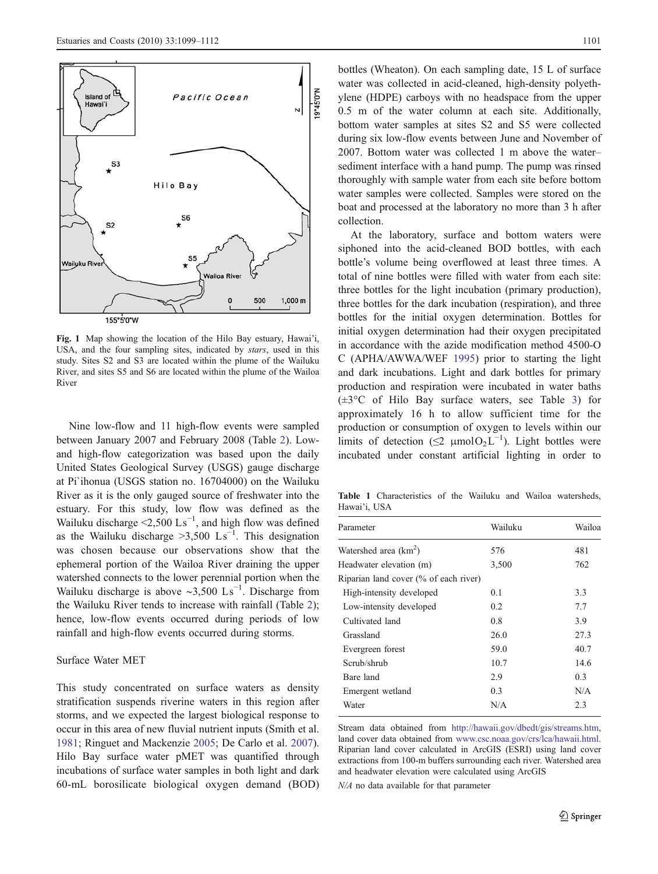<span id="page-2-0"></span>

Fig. 1 Map showing the location of the Hilo Bay estuary, Hawai'i, USA, and the four sampling sites, indicated by stars, used in this study. Sites S2 and S3 are located within the plume of the Wailuku River, and sites S5 and S6 are located within the plume of the Wailoa River

Nine low-flow and 11 high-flow events were sampled between January 2007 and February 2008 (Table [2\)](#page-3-0). Lowand high-flow categorization was based upon the daily United States Geological Survey (USGS) gauge discharge at Pi`ihonua (USGS station no. 16704000) on the Wailuku River as it is the only gauged source of freshwater into the estuary. For this study, low flow was defined as the Wailuku discharge <2,500  $\text{Ls}^{-1}$ , and high flow was defined as the Wailuku discharge >3,500  $\text{Ls}^{-1}$ . This designation was chosen because our observations show that the ephemeral portion of the Wailoa River draining the upper watershed connects to the lower perennial portion when the Wailuku discharge is above ~3,500 Ls<sup>-1</sup>. Discharge from the Wailuku River tends to increase with rainfall (Table [2](#page-3-0)); hence, low-flow events occurred during periods of low rainfall and high-flow events occurred during storms.

# Surface Water MET

This study concentrated on surface waters as density stratification suspends riverine waters in this region after storms, and we expected the largest biological response to occur in this area of new fluvial nutrient inputs (Smith et al. [1981;](#page-13-0) Ringuet and Mackenzie [2005](#page-13-0); De Carlo et al. [2007](#page-12-0)). Hilo Bay surface water pMET was quantified through incubations of surface water samples in both light and dark 60-mL borosilicate biological oxygen demand (BOD)

bottles (Wheaton). On each sampling date, 15 L of surface water was collected in acid-cleaned, high-density polyethylene (HDPE) carboys with no headspace from the upper 0.5 m of the water column at each site. Additionally, bottom water samples at sites S2 and S5 were collected during six low-flow events between June and November of 2007. Bottom water was collected 1 m above the water– sediment interface with a hand pump. The pump was rinsed thoroughly with sample water from each site before bottom water samples were collected. Samples were stored on the boat and processed at the laboratory no more than 3 h after collection.

At the laboratory, surface and bottom waters were siphoned into the acid-cleaned BOD bottles, with each bottle's volume being overflowed at least three times. A total of nine bottles were filled with water from each site: three bottles for the light incubation (primary production), three bottles for the dark incubation (respiration), and three bottles for the initial oxygen determination. Bottles for initial oxygen determination had their oxygen precipitated in accordance with the azide modification method 4500-O C (APHA/AWWA/WEF [1995](#page-11-0)) prior to starting the light and dark incubations. Light and dark bottles for primary production and respiration were incubated in water baths (±3°C of Hilo Bay surface waters, see Table [3\)](#page-4-0) for approximately 16 h to allow sufficient time for the production or consumption of oxygen to levels within our limits of detection ( $\leq$ 2 µmol $O_2L^{-1}$ ). Light bottles were incubated under constant artificial lighting in order to

Table 1 Characteristics of the Wailuku and Wailoa watersheds, Hawai'i, USA

Stream data obtained from <http://hawaii.gov/dbedt/gis/streams.htm>, land cover data obtained from [www.csc.noaa.gov/crs/lca/hawaii.html](http://www.csc.noaa.gov/crs/lca/hawaii.html). Riparian land cover calculated in ArcGIS (ESRI) using land cover extractions from 100-m buffers surrounding each river. Watershed area and headwater elevation were calculated using ArcGIS

N/A no data available for that parameter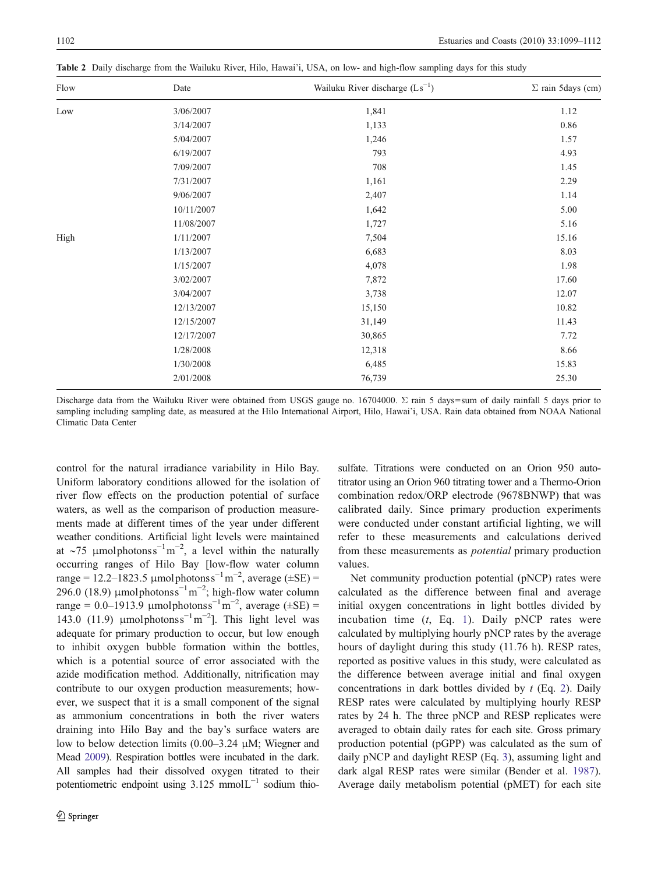| Flow | Date       | Wailuku River discharge $(Ls^{-1})$ | $\Sigma$ rain 5days (cm) |
|------|------------|-------------------------------------|--------------------------|
| Low  | 3/06/2007  | 1,841                               | 1.12                     |
|      | 3/14/2007  | 1,133                               | 0.86                     |
|      | 5/04/2007  | 1,246                               | 1.57                     |
|      | 6/19/2007  | 793                                 | 4.93                     |
|      | 7/09/2007  | 708                                 | 1.45                     |
|      | 7/31/2007  | 1,161                               | 2.29                     |
|      | 9/06/2007  | 2,407                               | 1.14                     |
|      | 10/11/2007 | 1,642                               | 5.00                     |
|      | 11/08/2007 | 1,727                               | 5.16                     |
| High | 1/11/2007  | 7,504                               | 15.16                    |
|      | 1/13/2007  | 6,683                               | 8.03                     |
|      | 1/15/2007  | 4,078                               | 1.98                     |
|      | 3/02/2007  | 7,872                               | 17.60                    |
|      | 3/04/2007  | 3,738                               | 12.07                    |
|      | 12/13/2007 | 15,150                              | 10.82                    |
|      | 12/15/2007 | 31,149                              | 11.43                    |
|      | 12/17/2007 | 30,865                              | 7.72                     |
|      | 1/28/2008  | 12,318                              | 8.66                     |
|      | 1/30/2008  | 6,485                               | 15.83                    |
|      | 2/01/2008  | 76,739                              | 25.30                    |
|      |            |                                     |                          |

<span id="page-3-0"></span>Table 2 Daily discharge from the Wailuku River, Hilo, Hawai'i, USA, on low- and high-flow sampling days for this study

Discharge data from the Wailuku River were obtained from USGS gauge no. 16704000. Σ rain 5 days=sum of daily rainfall 5 days prior to sampling including sampling date, as measured at the Hilo International Airport, Hilo, Hawai'i, USA. Rain data obtained from NOAA National Climatic Data Center

control for the natural irradiance variability in Hilo Bay. Uniform laboratory conditions allowed for the isolation of river flow effects on the production potential of surface waters, as well as the comparison of production measurements made at different times of the year under different weather conditions. Artificial light levels were maintained at ~75 µmolphotonss<sup>-1</sup>m<sup>-2</sup>, a level within the naturally occurring ranges of Hilo Bay [low-flow water column range = 12.2–1823.5 µmolphotonss<sup>-1</sup>m<sup>-2</sup>, average ( $\pm$ SE) = 296.0 (18.9)  $\mu$ molphotonss<sup>-1</sup>m<sup>-2</sup>; high-flow water column range =  $0.0$ -1913.9 µmolphotonss<sup>-1</sup>m<sup>-2</sup>, average ( $\pm$ SE) = 143.0 (11.9)  $\mu$ molphotonss<sup>-1</sup>m<sup>-2</sup>]. This light level was adequate for primary production to occur, but low enough to inhibit oxygen bubble formation within the bottles, which is a potential source of error associated with the azide modification method. Additionally, nitrification may contribute to our oxygen production measurements; however, we suspect that it is a small component of the signal as ammonium concentrations in both the river waters draining into Hilo Bay and the bay's surface waters are low to below detection limits (0.00–3.24 μM; Wiegner and Mead [2009\)](#page-13-0). Respiration bottles were incubated in the dark. All samples had their dissolved oxygen titrated to their potentiometric endpoint using  $3.125$  mmol $L^{-1}$  sodium thiosulfate. Titrations were conducted on an Orion 950 autotitrator using an Orion 960 titrating tower and a Thermo-Orion combination redox/ORP electrode (9678BNWP) that was calibrated daily. Since primary production experiments were conducted under constant artificial lighting, we will refer to these measurements and calculations derived from these measurements as potential primary production values.

Net community production potential (pNCP) rates were calculated as the difference between final and average initial oxygen concentrations in light bottles divided by incubation time  $(t, Eq. 1)$  $(t, Eq. 1)$ . Daily pNCP rates were calculated by multiplying hourly pNCP rates by the average hours of daylight during this study (11.76 h). RESP rates, reported as positive values in this study, were calculated as the difference between average initial and final oxygen concentrations in dark bottles divided by  $t$  (Eq. [2](#page-4-0)). Daily RESP rates were calculated by multiplying hourly RESP rates by 24 h. The three pNCP and RESP replicates were averaged to obtain daily rates for each site. Gross primary production potential (pGPP) was calculated as the sum of daily pNCP and daylight RESP (Eq. [3\)](#page-4-0), assuming light and dark algal RESP rates were similar (Bender et al. [1987\)](#page-12-0). Average daily metabolism potential (pMET) for each site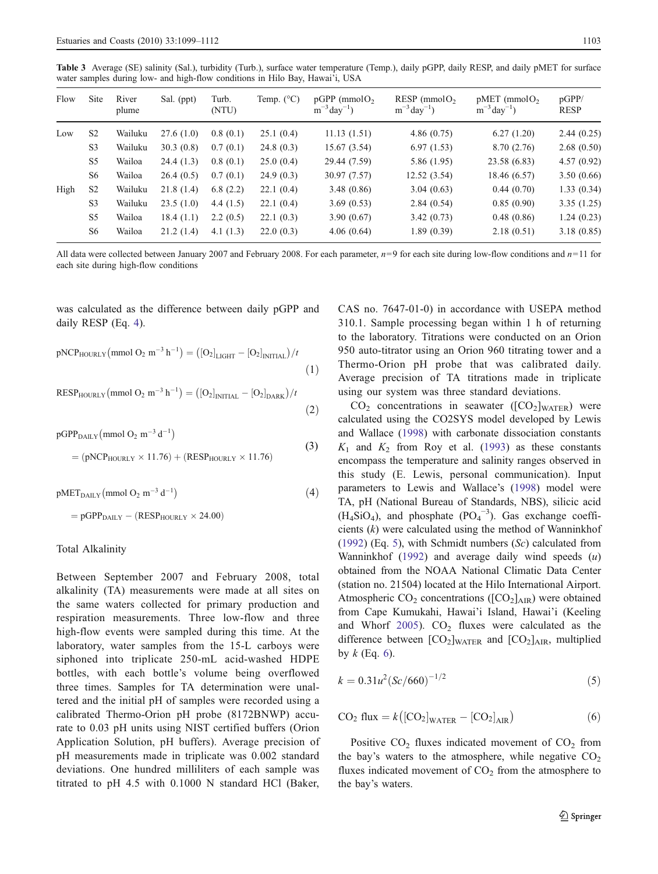<span id="page-4-0"></span>Table 3 Average (SE) salinity (Sal.), turbidity (Turb.), surface water temperature (Temp.), daily pGPP, daily RESP, and daily pMET for surface water samples during low- and high-flow conditions in Hilo Bay, Hawai'i, USA

| Flow | <b>Site</b>    | River<br>plume | Sal. (ppt) | Turb.<br>(NTU) | Temp. $(^{\circ}C)$ | $pGPP$ (mmol $O2$<br>$m^{-3}day^{-1}$ | RESP ( $mmolO2$<br>$m^{-3}$ day <sup>-1</sup> ) | $pMET$ (mmol $O2$<br>$m^{-3}day^{-1}$ | pGPP/<br><b>RESP</b> |
|------|----------------|----------------|------------|----------------|---------------------|---------------------------------------|-------------------------------------------------|---------------------------------------|----------------------|
| Low  | S <sub>2</sub> | Wailuku        | 27.6(1.0)  | 0.8(0.1)       | 25.1(0.4)           | 11.13(1.51)                           | 4.86(0.75)                                      | 6.27(1.20)                            | 2.44(0.25)           |
|      | S <sub>3</sub> | Wailuku        | 30.3(0.8)  | 0.7(0.1)       | 24.8(0.3)           | 15.67(3.54)                           | 6.97(1.53)                                      | 8.70(2.76)                            | 2.68(0.50)           |
|      | S <sub>5</sub> | Wailoa         | 24.4(1.3)  | 0.8(0.1)       | 25.0(0.4)           | 29.44 (7.59)                          | 5.86 (1.95)                                     | 23.58 (6.83)                          | 4.57(0.92)           |
|      | S <sub>6</sub> | Wailoa         | 26.4(0.5)  | 0.7(0.1)       | 24.9(0.3)           | 30.97 (7.57)                          | 12.52(3.54)                                     | 18.46 (6.57)                          | 3.50(0.66)           |
| High | S <sub>2</sub> | Wailuku        | 21.8(1.4)  | 6.8(2.2)       | 22.1(0.4)           | 3.48(0.86)                            | 3.04(0.63)                                      | 0.44(0.70)                            | 1.33(0.34)           |
|      | S <sub>3</sub> | Wailuku        | 23.5(1.0)  | 4.4 $(1.5)$    | 22.1(0.4)           | 3.69(0.53)                            | 2.84(0.54)                                      | 0.85(0.90)                            | 3.35(1.25)           |
|      | S <sub>5</sub> | Wailoa         | 18.4(1.1)  | 2.2(0.5)       | 22.1(0.3)           | 3.90(0.67)                            | 3.42(0.73)                                      | 0.48(0.86)                            | 1.24(0.23)           |
|      | S <sub>6</sub> | Wailoa         | 21.2(1.4)  | 4.1 $(1.3)$    | 22.0(0.3)           | 4.06(0.64)                            | 1.89(0.39)                                      | 2.18(0.51)                            | 3.18(0.85)           |
|      |                |                |            |                |                     |                                       |                                                 |                                       |                      |

All data were collected between January 2007 and February 2008. For each parameter,  $n=9$  for each site during low-flow conditions and  $n=11$  for each site during high-flow conditions

was calculated as the difference between daily pGPP and daily RESP (Eq. 4).

$$
pNCP_{HOURLY}(mmol O_2 m^{-3} h^{-1}) = ([O_2]_{LIGHT} - [O_2]_{INITIAL})/t
$$
\n(1)

RESPHOURLY mmol O2 <sup>m</sup><sup>3</sup> <sup>h</sup><sup>1</sup> <sup>¼</sup> ½ O2 INITIAL ½ O2 DARK =<sup>t</sup> ð2Þ

 $pGPP_{\text{DAILY}}(\text{mmol O}_2 \text{ m}^{-3} \text{ d}^{-1})$  $=$  (pNCP<sub>HOURLY</sub>  $\times$  11.76) + (RESP<sub>HOURLY</sub>  $\times$  11.76)  $(3)$ 

$$
pMET_{\text{DAILY}}(mmol O_2 m^{-3} d^{-1})
$$
\n(4)

 $=$  pGPP<sub>DAILY</sub>  $-$  (RESP<sub>HOURLY</sub>  $\times$  24.00)

#### Total Alkalinity

Between September 2007 and February 2008, total alkalinity (TA) measurements were made at all sites on the same waters collected for primary production and respiration measurements. Three low-flow and three high-flow events were sampled during this time. At the laboratory, water samples from the 15-L carboys were siphoned into triplicate 250-mL acid-washed HDPE bottles, with each bottle's volume being overflowed three times. Samples for TA determination were unaltered and the initial pH of samples were recorded using a calibrated Thermo-Orion pH probe (8172BNWP) accurate to 0.03 pH units using NIST certified buffers (Orion Application Solution, pH buffers). Average precision of pH measurements made in triplicate was 0.002 standard deviations. One hundred milliliters of each sample was titrated to pH 4.5 with 0.1000 N standard HCl (Baker,

CAS no. 7647-01-0) in accordance with USEPA method 310.1. Sample processing began within 1 h of returning to the laboratory. Titrations were conducted on an Orion 950 auto-titrator using an Orion 960 titrating tower and a Thermo-Orion pH probe that was calibrated daily. Average precision of TA titrations made in triplicate using our system was three standard deviations.

 $CO<sub>2</sub>$  concentrations in seawater ( $[CO<sub>2</sub>]_{\text{WATER}}$ ) were calculated using the CO2SYS model developed by Lewis and Wallace ([1998\)](#page-12-0) with carbonate dissociation constants  $K_1$  and  $K_2$  from Roy et al. [\(1993](#page-13-0)) as these constants encompass the temperature and salinity ranges observed in this study (E. Lewis, personal communication). Input parameters to Lewis and Wallace's ([1998\)](#page-12-0) model were TA, pH (National Bureau of Standards, NBS), silicic acid  $(H_4SiO_4)$ , and phosphate  $(PO_4^{-3})$ . Gas exchange coefficients  $(k)$  were calculated using the method of Wanninkhof [\(1992](#page-13-0)) (Eq. 5), with Schmidt numbers  $(Sc)$  calculated from Wanninkhof  $(1992)$  and average daily wind speeds  $(u)$ obtained from the NOAA National Climatic Data Center (station no. 21504) located at the Hilo International Airport. Atmospheric  $CO_2$  concentrations ( $[CO_2]_{\text{AIR}}$ ) were obtained from Cape Kumukahi, Hawai'i Island, Hawai'i (Keeling and Whorf [2005](#page-12-0)).  $CO<sub>2</sub>$  fluxes were calculated as the difference between  $[CO<sub>2</sub>]_{\text{WATER}}$  and  $[CO<sub>2</sub>]_{\text{AIR}}$ , multiplied by  $k$  (Eq. 6).

$$
k = 0.31u^{2}(Sc/660)^{-1/2}
$$
\n(5)

$$
CO2 flux = k \left( [CO2]_{\text{WATER}} - [CO2]_{\text{AIR}} \right)
$$
 (6)

Positive  $CO<sub>2</sub>$  fluxes indicated movement of  $CO<sub>2</sub>$  from the bay's waters to the atmosphere, while negative  $CO<sub>2</sub>$ fluxes indicated movement of  $CO<sub>2</sub>$  from the atmosphere to the bay's waters.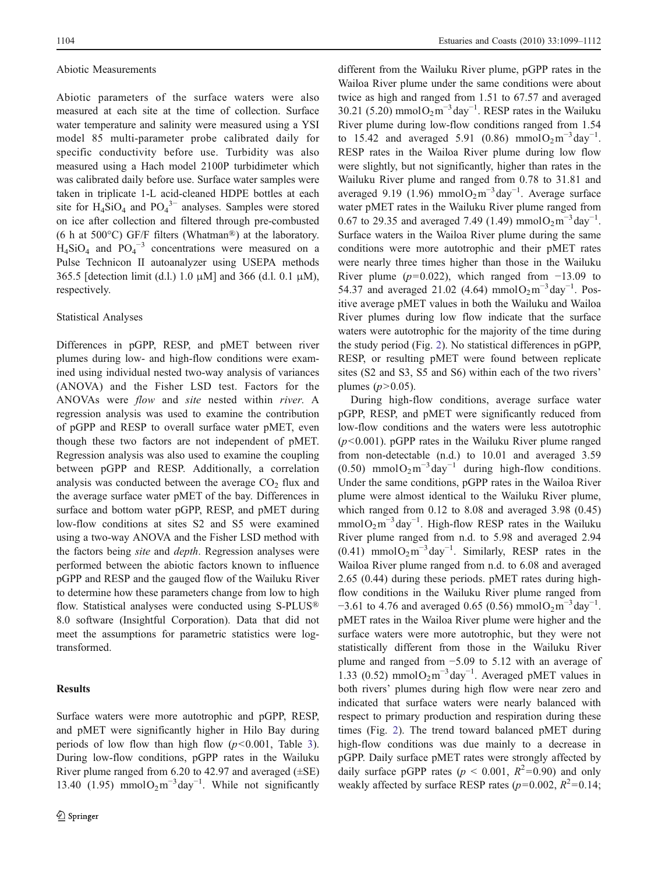#### Abiotic Measurements

Abiotic parameters of the surface waters were also measured at each site at the time of collection. Surface water temperature and salinity were measured using a YSI model 85 multi-parameter probe calibrated daily for specific conductivity before use. Turbidity was also measured using a Hach model 2100P turbidimeter which was calibrated daily before use. Surface water samples were taken in triplicate 1-L acid-cleaned HDPE bottles at each site for  $H_4SiO_4$  and  $PO_4^{3-}$  analyses. Samples were stored on ice after collection and filtered through pre-combusted (6 h at 500°C) GF/F filters (Whatman®) at the laboratory.  $H_4SiO_4$  and  $PO_4^{-3}$  concentrations were measured on a Pulse Technicon II autoanalyzer using USEPA methods 365.5 [detection limit (d.l.) 1.0 μM] and 366 (d.l. 0.1 μM), respectively.

# Statistical Analyses

Differences in pGPP, RESP, and pMET between river plumes during low- and high-flow conditions were examined using individual nested two-way analysis of variances (ANOVA) and the Fisher LSD test. Factors for the ANOVAs were flow and site nested within river. A regression analysis was used to examine the contribution of pGPP and RESP to overall surface water pMET, even though these two factors are not independent of pMET. Regression analysis was also used to examine the coupling between pGPP and RESP. Additionally, a correlation analysis was conducted between the average  $CO<sub>2</sub>$  flux and the average surface water pMET of the bay. Differences in surface and bottom water pGPP, RESP, and pMET during low-flow conditions at sites S2 and S5 were examined using a two-way ANOVA and the Fisher LSD method with the factors being site and depth. Regression analyses were performed between the abiotic factors known to influence pGPP and RESP and the gauged flow of the Wailuku River to determine how these parameters change from low to high flow. Statistical analyses were conducted using S-PLUS® 8.0 software (Insightful Corporation). Data that did not meet the assumptions for parametric statistics were logtransformed.

# Results

different from the Wailuku River plume, pGPP rates in the Wailoa River plume under the same conditions were about twice as high and ranged from 1.51 to 67.57 and averaged 30.21 (5.20) mmol $O_2 m^{-3}$ day<sup>-1</sup>. RESP rates in the Wailuku River plume during low-flow conditions ranged from 1.54 to 15.42 and averaged 5.91 (0.86) mmol $O_2 m^{-3}$ day<sup>-1</sup>. RESP rates in the Wailoa River plume during low flow were slightly, but not significantly, higher than rates in the Wailuku River plume and ranged from 0.78 to 31.81 and averaged 9.19 (1.96) mmol $O_2m^{-3}$ day<sup>-1</sup>. Average surface water pMET rates in the Wailuku River plume ranged from 0.67 to 29.35 and averaged 7.49 (1.49) mmol $O_2$ m<sup>-3</sup>day<sup>-1</sup>. Surface waters in the Wailoa River plume during the same conditions were more autotrophic and their pMET rates were nearly three times higher than those in the Wailuku River plume ( $p=0.022$ ), which ranged from  $-13.09$  to 54.37 and averaged 21.02 (4.64) mmol $O_2m^{-3}$ day<sup>-1</sup>. Positive average pMET values in both the Wailuku and Wailoa River plumes during low flow indicate that the surface waters were autotrophic for the majority of the time during the study period (Fig. [2\)](#page-6-0). No statistical differences in pGPP, RESP, or resulting pMET were found between replicate sites (S2 and S3, S5 and S6) within each of the two rivers' plumes  $(p>0.05)$ .

During high-flow conditions, average surface water pGPP, RESP, and pMET were significantly reduced from low-flow conditions and the waters were less autotrophic  $(p<0.001)$ . pGPP rates in the Wailuku River plume ranged from non-detectable (n.d.) to 10.01 and averaged 3.59 (0.50) mmol $O_2m^{-3}day^{-1}$  during high-flow conditions. Under the same conditions, pGPP rates in the Wailoa River plume were almost identical to the Wailuku River plume, which ranged from 0.12 to 8.08 and averaged 3.98 (0.45) mmol $O_2$ m<sup>-3</sup> day<sup>-1</sup>. High-flow RESP rates in the Wailuku River plume ranged from n.d. to 5.98 and averaged 2.94  $(0.41)$  mmol $O_2m^{-3}$ day<sup>-1</sup>. Similarly, RESP rates in the Wailoa River plume ranged from n.d. to 6.08 and averaged 2.65 (0.44) during these periods. pMET rates during highflow conditions in the Wailuku River plume ranged from  $-3.61$  to 4.76 and averaged 0.65 (0.56) mmol $O_2$ m<sup>-3</sup>day<sup>-1</sup>. pMET rates in the Wailoa River plume were higher and the surface waters were more autotrophic, but they were not statistically different from those in the Wailuku River plume and ranged from −5.09 to 5.12 with an average of 1.33 (0.52) mmol $O_2m^{-3}$ day<sup>-1</sup>. Averaged pMET values in both rivers' plumes during high flow were near zero and indicated that surface waters were nearly balanced with respect to primary production and respiration during these times (Fig. [2\)](#page-6-0). The trend toward balanced pMET during high-flow conditions was due mainly to a decrease in pGPP. Daily surface pMET rates were strongly affected by daily surface pGPP rates ( $p < 0.001$ ,  $R^2 = 0.90$ ) and only weakly affected by surface RESP rates ( $p=0.002$ ,  $R^2=0.14$ ;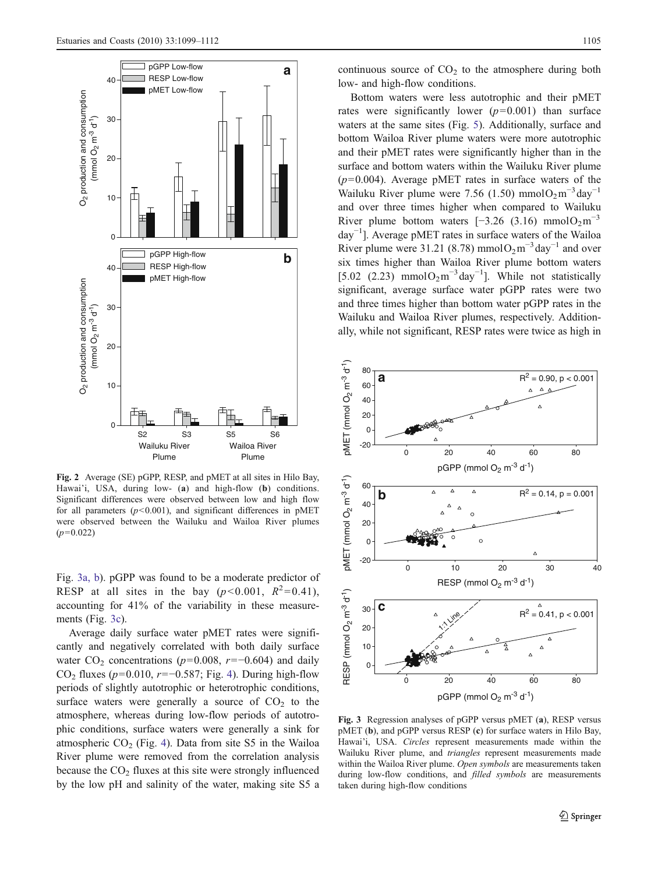<span id="page-6-0"></span>

Fig. 2 Average (SE) pGPP, RESP, and pMET at all sites in Hilo Bay, Hawai'i, USA, during low- (a) and high-flow (b) conditions. Significant differences were observed between low and high flow for all parameters  $(p<0.001)$ , and significant differences in pMET were observed between the Wailuku and Wailoa River plumes  $(p=0.022)$ 

Fig. 3a, b). pGPP was found to be a moderate predictor of RESP at all sites in the bay ( $p < 0.001$ ,  $R^2 = 0.41$ ), accounting for 41% of the variability in these measurements (Fig. 3c).

Average daily surface water pMET rates were significantly and negatively correlated with both daily surface water  $CO_2$  concentrations (p=0.008, r=−0.604) and daily CO<sub>2</sub> fluxes ( $p=0.010$ ,  $r=-0.587$ ; Fig. [4](#page-7-0)). During high-flow periods of slightly autotrophic or heterotrophic conditions, surface waters were generally a source of  $CO<sub>2</sub>$  to the atmosphere, whereas during low-flow periods of autotrophic conditions, surface waters were generally a sink for atmospheric  $CO<sub>2</sub>$  (Fig. [4\)](#page-7-0). Data from site S5 in the Wailoa River plume were removed from the correlation analysis because the  $CO<sub>2</sub>$  fluxes at this site were strongly influenced by the low pH and salinity of the water, making site S5 a

continuous source of  $CO<sub>2</sub>$  to the atmosphere during both low- and high-flow conditions.

Bottom waters were less autotrophic and their pMET rates were significantly lower  $(p=0.001)$  than surface waters at the same sites (Fig. [5](#page-7-0)). Additionally, surface and bottom Wailoa River plume waters were more autotrophic and their pMET rates were significantly higher than in the surface and bottom waters within the Wailuku River plume  $(p=0.004)$ . Average pMET rates in surface waters of the Wailuku River plume were 7.56 (1.50) mmol $O_2 m^{-3}$ day<sup>-1</sup> and over three times higher when compared to Wailuku River plume bottom waters  $[-3.26 (3.16) \text{ mmolO}_2\text{m}^{-3}]$ day−<sup>1</sup> ]. Average pMET rates in surface waters of the Wailoa River plume were 31.21 (8.78) mmol $O_2 m^{-3}$  day<sup>-1</sup> and over six times higher than Wailoa River plume bottom waters [5.02 (2.23) mmol $O_2m^{-3}$ day<sup>-1</sup>]. While not statistically significant, average surface water pGPP rates were two and three times higher than bottom water pGPP rates in the Wailuku and Wailoa River plumes, respectively. Additionally, while not significant, RESP rates were twice as high in



Fig. 3 Regression analyses of pGPP versus pMET (a), RESP versus pMET (b), and pGPP versus RESP (c) for surface waters in Hilo Bay, Hawai'i, USA. Circles represent measurements made within the Wailuku River plume, and triangles represent measurements made within the Wailoa River plume. Open symbols are measurements taken during low-flow conditions, and *filled symbols* are measurements taken during high-flow conditions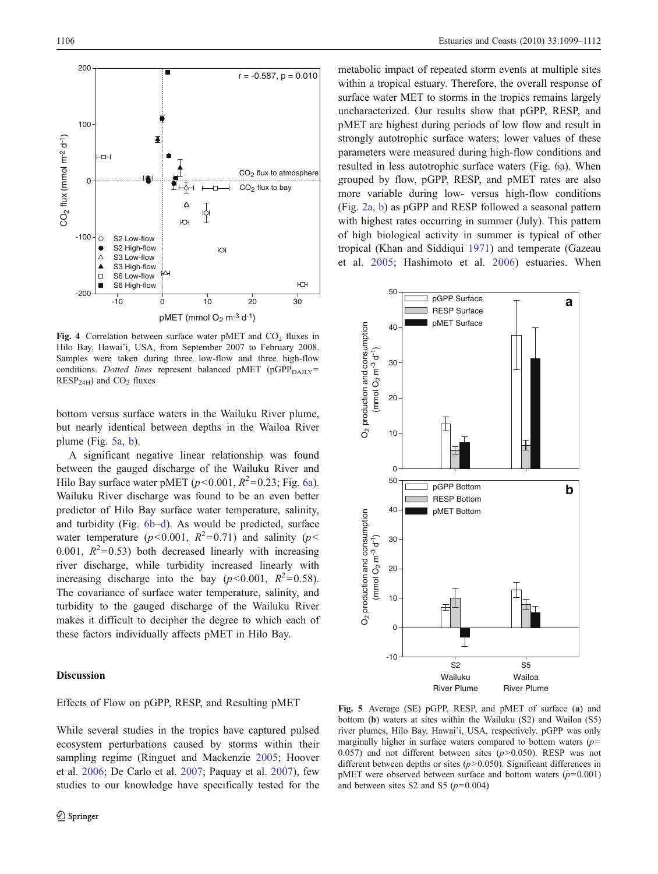100

<span id="page-7-0"></span>200

 $2O<sub>2</sub>$  flux (mmol m<sup>-2</sup> d<sup>-1</sup>)  $\mathsf{CO}_2$  flux (mmol m<sup>-2</sup> d<sup>-1</sup>) HЪ  $CO<sub>2</sub>$  flux to atmosphere  $\mathfrak{g}$  $CO<sub>2</sub>$  flux to bay Δ  $\frac{1}{2}$ Ю -100  $\circ$ S2 Low-flow S2 High-flow Ю  $\triangle$ S<sub>3</sub> Low-flow  $\blacktriangle$ S3 High-flow ŀД  $\Box$ S6 Low-flow É S6 High-flow ЮH -200 -10 0 10 20 30 pMET (mmol  $O<sub>2</sub>$  m<sup>-3</sup> d<sup>-1</sup>) Fig. 4 Correlation between surface water pMET and  $CO<sub>2</sub>$  fluxes in

 $r = -0.587, p = 0.010$ 

Hilo Bay, Hawai'i, USA, from September 2007 to February 2008. Samples were taken during three low-flow and three high-flow conditions. Dotted lines represent balanced pMET (pGPP $_{\text{DAHY}}$ =  $RESP<sub>24H</sub>$ ) and  $CO<sub>2</sub>$  fluxes

bottom versus surface waters in the Wailuku River plume, but nearly identical between depths in the Wailoa River plume (Fig. 5a, b).

A significant negative linear relationship was found between the gauged discharge of the Wailuku River and Hilo Bay surface water pMET ( $p$ <0.001,  $R^2$ =0.23; Fig. [6a](#page-8-0)). Wailuku River discharge was found to be an even better predictor of Hilo Bay surface water temperature, salinity, and turbidity (Fig. [6b](#page-8-0)–d). As would be predicted, surface water temperature ( $p < 0.001$ ,  $R^2 = 0.71$ ) and salinity ( $p <$ 0.001,  $R^2$ =0.53) both decreased linearly with increasing river discharge, while turbidity increased linearly with increasing discharge into the bay ( $p < 0.001$ ,  $R^2 = 0.58$ ). The covariance of surface water temperature, salinity, and turbidity to the gauged discharge of the Wailuku River makes it difficult to decipher the degree to which each of these factors individually affects pMET in Hilo Bay.

# **Discussion**

# Effects of Flow on pGPP, RESP, and Resulting pMET

metabolic impact of repeated storm events at multiple sites within a tropical estuary. Therefore, the overall response of surface water MET to storms in the tropics remains largely uncharacterized. Our results show that pGPP, RESP, and pMET are highest during periods of low flow and result in strongly autotrophic surface waters; lower values of these parameters were measured during high-flow conditions and resulted in less autotrophic surface waters (Fig. [6a](#page-8-0)). When grouped by flow, pGPP, RESP, and pMET rates are also more variable during low- versus high-flow conditions (Fig. [2a, b\)](#page-6-0) as pGPP and RESP followed a seasonal pattern with highest rates occurring in summer (July). This pattern of high biological activity in summer is typical of other tropical (Khan and Siddiqui [1971\)](#page-12-0) and temperate (Gazeau et al. [2005](#page-12-0); Hashimoto et al. [2006](#page-12-0)) estuaries. When



Fig. 5 Average (SE) pGPP, RESP, and pMET of surface (a) and bottom (b) waters at sites within the Wailuku (S2) and Wailoa (S5) river plumes, Hilo Bay, Hawai'i, USA, respectively. pGPP was only marginally higher in surface waters compared to bottom waters  $(p=$ 0.057) and not different between sites  $(p>0.050)$ . RESP was not different between depths or sites  $(p>0.050)$ . Significant differences in pMET were observed between surface and bottom waters  $(p=0.001)$ and between sites S2 and S5 ( $p=0.004$ )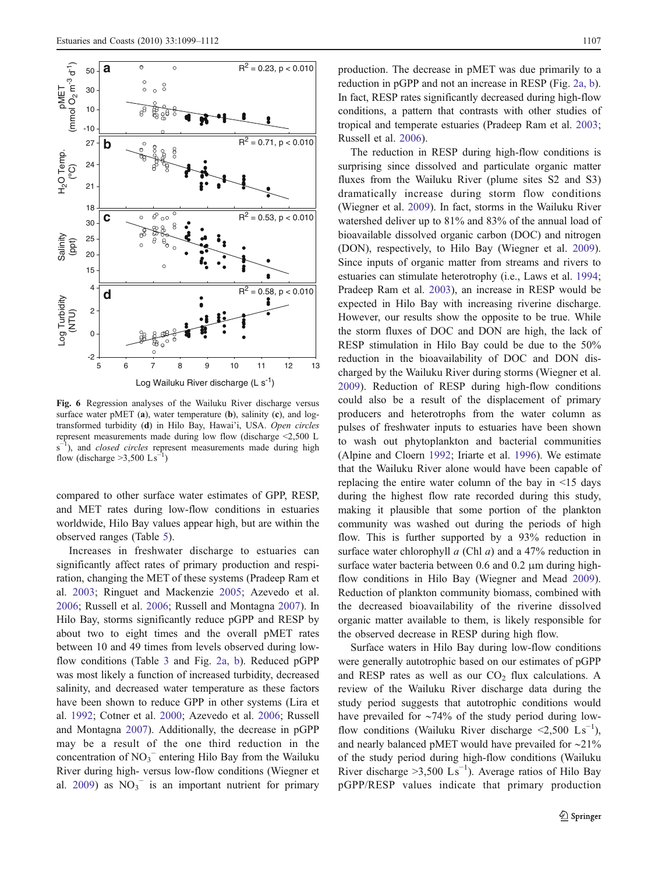<span id="page-8-0"></span>

Fig. 6 Regression analyses of the Wailuku River discharge versus surface water pMET (a), water temperature (b), salinity (c), and logtransformed turbidity (d) in Hilo Bay, Hawai'i, USA. Open circles represent measurements made during low flow (discharge <2,500 L s<sup>-1</sup>), and *closed circles* represent measurements made during high flow (discharge >3,500  $\text{Ls}^{-1}$ )

compared to other surface water estimates of GPP, RESP, and MET rates during low-flow conditions in estuaries worldwide, Hilo Bay values appear high, but are within the observed ranges (Table [5\)](#page-10-0).

Increases in freshwater discharge to estuaries can significantly affect rates of primary production and respiration, changing the MET of these systems (Pradeep Ram et al. [2003;](#page-13-0) Ringuet and Mackenzie [2005;](#page-13-0) Azevedo et al. [2006;](#page-11-0) Russell et al. [2006;](#page-13-0) Russell and Montagna [2007\)](#page-13-0). In Hilo Bay, storms significantly reduce pGPP and RESP by about two to eight times and the overall pMET rates between 10 and 49 times from levels observed during lowflow conditions (Table [3](#page-4-0) and Fig. [2a, b](#page-6-0)). Reduced pGPP was most likely a function of increased turbidity, decreased salinity, and decreased water temperature as these factors have been shown to reduce GPP in other systems (Lira et al. [1992](#page-13-0); Cotner et al. [2000;](#page-12-0) Azevedo et al. [2006;](#page-11-0) Russell and Montagna [2007\)](#page-13-0). Additionally, the decrease in pGPP may be a result of the one third reduction in the concentration of  $NO<sub>3</sub><sup>-</sup>$  entering Hilo Bay from the Wailuku River during high- versus low-flow conditions (Wiegner et al. [2009\)](#page-13-0) as  $NO_3$ <sup>-</sup> is an important nutrient for primary

production. The decrease in pMET was due primarily to a reduction in pGPP and not an increase in RESP (Fig. [2a, b\)](#page-6-0). In fact, RESP rates significantly decreased during high-flow conditions, a pattern that contrasts with other studies of tropical and temperate estuaries (Pradeep Ram et al. [2003;](#page-13-0) Russell et al. [2006\)](#page-13-0).

The reduction in RESP during high-flow conditions is surprising since dissolved and particulate organic matter fluxes from the Wailuku River (plume sites S2 and S3) dramatically increase during storm flow conditions (Wiegner et al. [2009](#page-13-0)). In fact, storms in the Wailuku River watershed deliver up to 81% and 83% of the annual load of bioavailable dissolved organic carbon (DOC) and nitrogen (DON), respectively, to Hilo Bay (Wiegner et al. [2009\)](#page-13-0). Since inputs of organic matter from streams and rivers to estuaries can stimulate heterotrophy (i.e., Laws et al. [1994;](#page-12-0) Pradeep Ram et al. [2003](#page-13-0)), an increase in RESP would be expected in Hilo Bay with increasing riverine discharge. However, our results show the opposite to be true. While the storm fluxes of DOC and DON are high, the lack of RESP stimulation in Hilo Bay could be due to the 50% reduction in the bioavailability of DOC and DON discharged by the Wailuku River during storms (Wiegner et al. [2009](#page-13-0)). Reduction of RESP during high-flow conditions could also be a result of the displacement of primary producers and heterotrophs from the water column as pulses of freshwater inputs to estuaries have been shown to wash out phytoplankton and bacterial communities (Alpine and Cloern [1992](#page-11-0); Iriarte et al. [1996\)](#page-12-0). We estimate that the Wailuku River alone would have been capable of replacing the entire water column of the bay in <15 days during the highest flow rate recorded during this study, making it plausible that some portion of the plankton community was washed out during the periods of high flow. This is further supported by a 93% reduction in surface water chlorophyll  $a$  (Chl  $a$ ) and a 47% reduction in surface water bacteria between 0.6 and 0.2 μm during highflow conditions in Hilo Bay (Wiegner and Mead [2009\)](#page-13-0). Reduction of plankton community biomass, combined with the decreased bioavailability of the riverine dissolved organic matter available to them, is likely responsible for the observed decrease in RESP during high flow.

Surface waters in Hilo Bay during low-flow conditions were generally autotrophic based on our estimates of pGPP and RESP rates as well as our  $CO<sub>2</sub>$  flux calculations. A review of the Wailuku River discharge data during the study period suggests that autotrophic conditions would have prevailed for ∼74% of the study period during lowflow conditions (Wailuku River discharge <2,500  $\text{Ls}^{-1}$ ), and nearly balanced pMET would have prevailed for ∼21% of the study period during high-flow conditions (Wailuku River discharge >3,500  $\mathrm{Ls}^{-1}$ ). Average ratios of Hilo Bay pGPP/RESP values indicate that primary production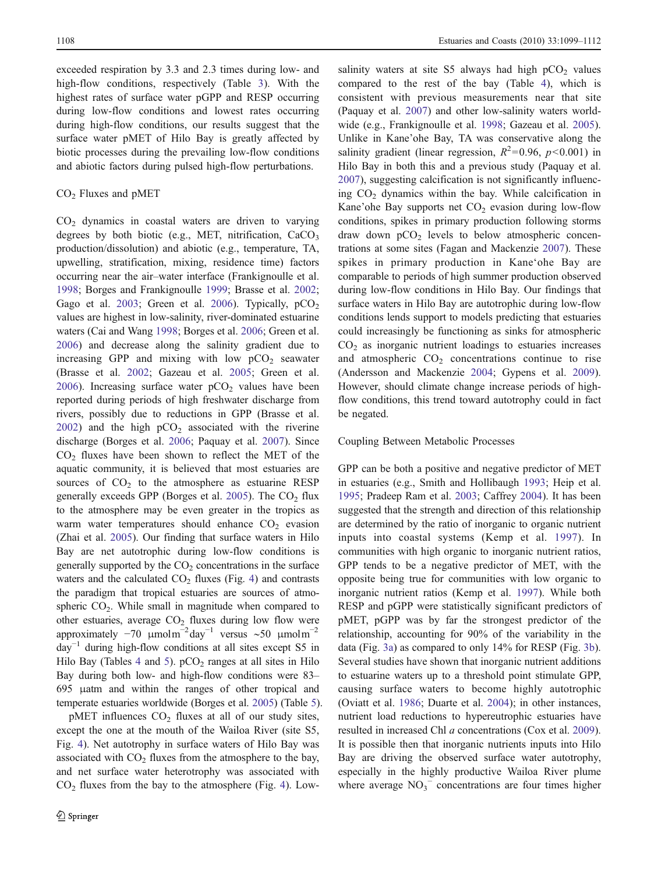exceeded respiration by 3.3 and 2.3 times during low- and high-flow conditions, respectively (Table [3\)](#page-4-0). With the highest rates of surface water pGPP and RESP occurring during low-flow conditions and lowest rates occurring during high-flow conditions, our results suggest that the surface water pMET of Hilo Bay is greatly affected by biotic processes during the prevailing low-flow conditions and abiotic factors during pulsed high-flow perturbations.

## $CO<sub>2</sub>$  Fluxes and pMET

 $CO<sub>2</sub>$  dynamics in coastal waters are driven to varying degrees by both biotic (e.g., MET, nitrification,  $CaCO<sub>3</sub>$ production/dissolution) and abiotic (e.g., temperature, TA, upwelling, stratification, mixing, residence time) factors occurring near the air–water interface (Frankignoulle et al. [1998;](#page-12-0) Borges and Frankignoulle [1999](#page-12-0); Brasse et al. [2002](#page-12-0); Gago et al. [2003;](#page-12-0) Green et al. [2006\)](#page-12-0). Typically,  $pCO<sub>2</sub>$ values are highest in low-salinity, river-dominated estuarine waters (Cai and Wang [1998;](#page-12-0) Borges et al. [2006](#page-12-0); Green et al. [2006\)](#page-12-0) and decrease along the salinity gradient due to increasing GPP and mixing with low  $pCO<sub>2</sub>$  seawater (Brasse et al. [2002](#page-12-0); Gazeau et al. [2005;](#page-12-0) Green et al. [2006\)](#page-12-0). Increasing surface water  $pCO<sub>2</sub>$  values have been reported during periods of high freshwater discharge from rivers, possibly due to reductions in GPP (Brasse et al. [2002\)](#page-12-0) and the high  $pCO<sub>2</sub>$  associated with the riverine discharge (Borges et al. [2006;](#page-12-0) Paquay et al. [2007](#page-13-0)). Since  $CO<sub>2</sub>$  fluxes have been shown to reflect the MET of the aquatic community, it is believed that most estuaries are sources of  $CO<sub>2</sub>$  to the atmosphere as estuarine RESP generally exceeds GPP (Borges et al. [2005\)](#page-12-0). The  $CO<sub>2</sub>$  flux to the atmosphere may be even greater in the tropics as warm water temperatures should enhance  $CO<sub>2</sub>$  evasion (Zhai et al. [2005\)](#page-13-0). Our finding that surface waters in Hilo Bay are net autotrophic during low-flow conditions is generally supported by the  $CO<sub>2</sub>$  concentrations in the surface waters and the calculated  $CO<sub>2</sub>$  fluxes (Fig. [4](#page-7-0)) and contrasts the paradigm that tropical estuaries are sources of atmospheric  $CO<sub>2</sub>$ . While small in magnitude when compared to other estuaries, average  $CO<sub>2</sub>$  fluxes during low flow were approximately  $-70 \mu molm^{-2}$ day<sup>-1</sup> versus ~50  $\mu molm^{-2}$ day−<sup>1</sup> during high-flow conditions at all sites except S5 in Hilo Bay (Tables [4](#page-10-0) and [5\)](#page-10-0).  $pCO<sub>2</sub>$  ranges at all sites in Hilo Bay during both low- and high-flow conditions were 83– 695 μatm and within the ranges of other tropical and temperate estuaries worldwide (Borges et al. [2005](#page-12-0)) (Table [5\)](#page-10-0).

 $p$ MET influences  $CO<sub>2</sub>$  fluxes at all of our study sites, except the one at the mouth of the Wailoa River (site S5, Fig. [4](#page-7-0)). Net autotrophy in surface waters of Hilo Bay was associated with  $CO<sub>2</sub>$  fluxes from the atmosphere to the bay, and net surface water heterotrophy was associated with  $CO<sub>2</sub>$  fluxes from the bay to the atmosphere (Fig. [4\)](#page-7-0). Lowsalinity waters at site S5 always had high  $pCO<sub>2</sub>$  values compared to the rest of the bay (Table [4\)](#page-10-0), which is consistent with previous measurements near that site (Paquay et al. [2007](#page-13-0)) and other low-salinity waters worldwide (e.g., Frankignoulle et al. [1998](#page-12-0); Gazeau et al. [2005\)](#page-12-0). Unlike in Kane'ohe Bay, TA was conservative along the salinity gradient (linear regression,  $R^2 = 0.96$ ,  $p < 0.001$ ) in Hilo Bay in both this and a previous study (Paquay et al. [2007](#page-13-0)), suggesting calcification is not significantly influencing  $CO<sub>2</sub>$  dynamics within the bay. While calcification in Kane'ohe Bay supports net  $CO<sub>2</sub>$  evasion during low-flow conditions, spikes in primary production following storms draw down  $pCO<sub>2</sub>$  levels to below atmospheric concentrations at some sites (Fagan and Mackenzie [2007](#page-12-0)). These spikes in primary production in Kane'ohe Bay are comparable to periods of high summer production observed during low-flow conditions in Hilo Bay. Our findings that surface waters in Hilo Bay are autotrophic during low-flow conditions lends support to models predicting that estuaries could increasingly be functioning as sinks for atmospheric  $CO<sub>2</sub>$  as inorganic nutrient loadings to estuaries increases and atmospheric  $CO<sub>2</sub>$  concentrations continue to rise (Andersson and Mackenzie [2004](#page-11-0); Gypens et al. [2009\)](#page-12-0). However, should climate change increase periods of highflow conditions, this trend toward autotrophy could in fact be negated.

## Coupling Between Metabolic Processes

GPP can be both a positive and negative predictor of MET in estuaries (e.g., Smith and Hollibaugh [1993](#page-13-0); Heip et al. [1995](#page-12-0); Pradeep Ram et al. [2003](#page-13-0); Caffrey [2004](#page-12-0)). It has been suggested that the strength and direction of this relationship are determined by the ratio of inorganic to organic nutrient inputs into coastal systems (Kemp et al. [1997](#page-12-0)). In communities with high organic to inorganic nutrient ratios, GPP tends to be a negative predictor of MET, with the opposite being true for communities with low organic to inorganic nutrient ratios (Kemp et al. [1997\)](#page-12-0). While both RESP and pGPP were statistically significant predictors of pMET, pGPP was by far the strongest predictor of the relationship, accounting for 90% of the variability in the data (Fig. [3a](#page-6-0)) as compared to only 14% for RESP (Fig. [3b\)](#page-6-0). Several studies have shown that inorganic nutrient additions to estuarine waters up to a threshold point stimulate GPP, causing surface waters to become highly autotrophic (Oviatt et al. [1986](#page-13-0); Duarte et al. [2004](#page-12-0)); in other instances, nutrient load reductions to hypereutrophic estuaries have resulted in increased Chl a concentrations (Cox et al. [2009\)](#page-12-0). It is possible then that inorganic nutrients inputs into Hilo Bay are driving the observed surface water autotrophy, especially in the highly productive Wailoa River plume where average  $NO_3^-$  concentrations are four times higher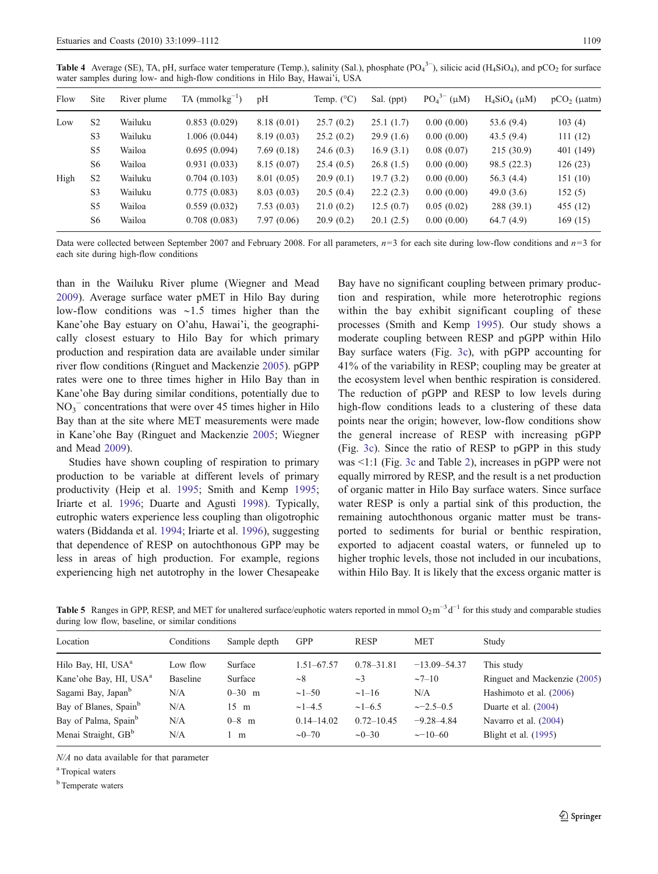<span id="page-10-0"></span>Table 4 Average (SE), TA, pH, surface water temperature (Temp.), salinity (Sal.), phosphate  $(PO<sub>4</sub><sup>3–</sup>)$ , silicic acid (H<sub>4</sub>SiO<sub>4</sub>), and pCO<sub>2</sub> for surface water samples during low- and high-flow conditions in Hilo Bay, Hawai'i, USA

| Flow | Site           | River plume | $TA$ (mmol $kg^{-1}$ ) | pH         | Temp. $(^{\circ}C)$ | Sal. (ppt) | PO <sub>4</sub> <sup>3–</sup> (µM) | $H_4SiO_4$ ( $\mu$ M) | $pCO2$ ( $\mu$ atm) |
|------|----------------|-------------|------------------------|------------|---------------------|------------|------------------------------------|-----------------------|---------------------|
| Low  | S <sub>2</sub> | Wailuku     | 0.853(0.029)           | 8.18(0.01) | 25.7(0.2)           | 25.1(1.7)  | 0.00(0.00)                         | 53.6 (9.4)            | 103(4)              |
|      | S <sub>3</sub> | Wailuku     | 1.006(0.044)           | 8.19(0.03) | 25.2(0.2)           | 29.9(1.6)  | 0.00(0.00)                         | 43.5(9.4)             | 111(12)             |
|      | S <sub>5</sub> | Wailoa      | 0.695(0.094)           | 7.69(0.18) | 24.6(0.3)           | 16.9(3.1)  | 0.08(0.07)                         | 215(30.9)             | 401 (149)           |
|      | S <sub>6</sub> | Wailoa      | 0.931(0.033)           | 8.15(0.07) | 25.4(0.5)           | 26.8(1.5)  | 0.00(0.00)                         | 98.5 (22.3)           | 126(23)             |
| High | S <sub>2</sub> | Wailuku     | 0.704(0.103)           | 8.01(0.05) | 20.9(0.1)           | 19.7(3.2)  | 0.00(0.00)                         | 56.3(4.4)             | 151 (10)            |
|      | S <sub>3</sub> | Wailuku     | 0.775(0.083)           | 8.03(0.03) | 20.5(0.4)           | 22.2(2.3)  | 0.00(0.00)                         | 49.0 $(3.6)$          | 152(5)              |
|      | S <sub>5</sub> | Wailoa      | 0.559(0.032)           | 7.53(0.03) | 21.0(0.2)           | 12.5(0.7)  | 0.05(0.02)                         | 288 (39.1)            | 455 (12)            |
|      | S <sub>6</sub> | Wailoa      | 0.708(0.083)           | 7.97(0.06) | 20.9(0.2)           | 20.1(2.5)  | 0.00(0.00)                         | 64.7(4.9)             | 169(15)             |

Data were collected between September 2007 and February 2008. For all parameters,  $n=3$  for each site during low-flow conditions and  $n=3$  for each site during high-flow conditions

than in the Wailuku River plume (Wiegner and Mead [2009\)](#page-13-0). Average surface water pMET in Hilo Bay during low-flow conditions was ∼1.5 times higher than the Kane'ohe Bay estuary on O'ahu, Hawai'i, the geographically closest estuary to Hilo Bay for which primary production and respiration data are available under similar river flow conditions (Ringuet and Mackenzie [2005](#page-13-0)). pGPP rates were one to three times higher in Hilo Bay than in Kane'ohe Bay during similar conditions, potentially due to  $NO<sub>3</sub><sup>-</sup>$  concentrations that were over 45 times higher in Hilo Bay than at the site where MET measurements were made in Kane'ohe Bay (Ringuet and Mackenzie [2005;](#page-13-0) Wiegner and Mead [2009](#page-13-0)).

Studies have shown coupling of respiration to primary production to be variable at different levels of primary productivity (Heip et al. [1995](#page-12-0); Smith and Kemp [1995](#page-13-0); Iriarte et al. [1996](#page-12-0); Duarte and Agustì [1998](#page-12-0)). Typically, eutrophic waters experience less coupling than oligotrophic waters (Biddanda et al. [1994;](#page-12-0) Iriarte et al. [1996](#page-12-0)), suggesting that dependence of RESP on autochthonous GPP may be less in areas of high production. For example, regions experiencing high net autotrophy in the lower Chesapeake

Bay have no significant coupling between primary production and respiration, while more heterotrophic regions within the bay exhibit significant coupling of these processes (Smith and Kemp [1995\)](#page-13-0). Our study shows a moderate coupling between RESP and pGPP within Hilo Bay surface waters (Fig. [3c\)](#page-6-0), with pGPP accounting for 41% of the variability in RESP; coupling may be greater at the ecosystem level when benthic respiration is considered. The reduction of pGPP and RESP to low levels during high-flow conditions leads to a clustering of these data points near the origin; however, low-flow conditions show the general increase of RESP with increasing pGPP (Fig. [3c\)](#page-6-0). Since the ratio of RESP to pGPP in this study was <1:1 (Fig. [3c](#page-6-0) and Table [2\)](#page-3-0), increases in pGPP were not equally mirrored by RESP, and the result is a net production of organic matter in Hilo Bay surface waters. Since surface water RESP is only a partial sink of this production, the remaining autochthonous organic matter must be transported to sediments for burial or benthic respiration, exported to adjacent coastal waters, or funneled up to higher trophic levels, those not included in our incubations, within Hilo Bay. It is likely that the excess organic matter is

Table 5 Ranges in GPP, RESP, and MET for unaltered surface/euphotic waters reported in mmol  $O_2 m^{-3} d^{-1}$  for this study and comparable studies during low flow, baseline, or similar conditions

| Location                           | Conditions      | Sample depth   | <b>GPP</b>     | <b>RESP</b>    | <b>MET</b>       | Study                        |
|------------------------------------|-----------------|----------------|----------------|----------------|------------------|------------------------------|
| Hilo Bay, HI, USA <sup>a</sup>     | Low flow        | Surface        | $1.51 - 67.57$ | $0.78 - 31.81$ | $-13.09 - 54.37$ | This study                   |
| Kane'ohe Bay, HI, USA <sup>a</sup> | <b>Baseline</b> | Surface        | $\sim$ 8       | $\sim$ 3       | $\sim$ 7–10      | Ringuet and Mackenzie (2005) |
| Sagami Bay, Japan <sup>b</sup>     | N/A             | $0 - 30$ m     | $\sim$ 1-50    | $\sim$ 1–16    | N/A              | Hashimoto et al. (2006)      |
| Bay of Blanes, Spain <sup>b</sup>  | N/A             | $15 \text{ m}$ | $\sim$ 1–4.5   | $\sim$ 1–6.5   | $\sim$ -2.5–0.5  | Duarte et al. $(2004)$       |
| Bay of Palma, Spain <sup>b</sup>   | N/A             | $0 - 8$ m      | $0.14 - 14.02$ | $0.72 - 10.45$ | $-9.28 - 4.84$   | Navarro et al. (2004)        |
| Menai Straight, GB <sup>b</sup>    | N/A             | m              | $\sim 0 - 70$  | $\sim 0 - 30$  | $\sim$ -10-60    | Blight et al. (1995)         |
|                                    |                 |                |                |                |                  |                              |

N/A no data available for that parameter

<sup>a</sup> Tropical waters

<sup>b</sup> Temperate waters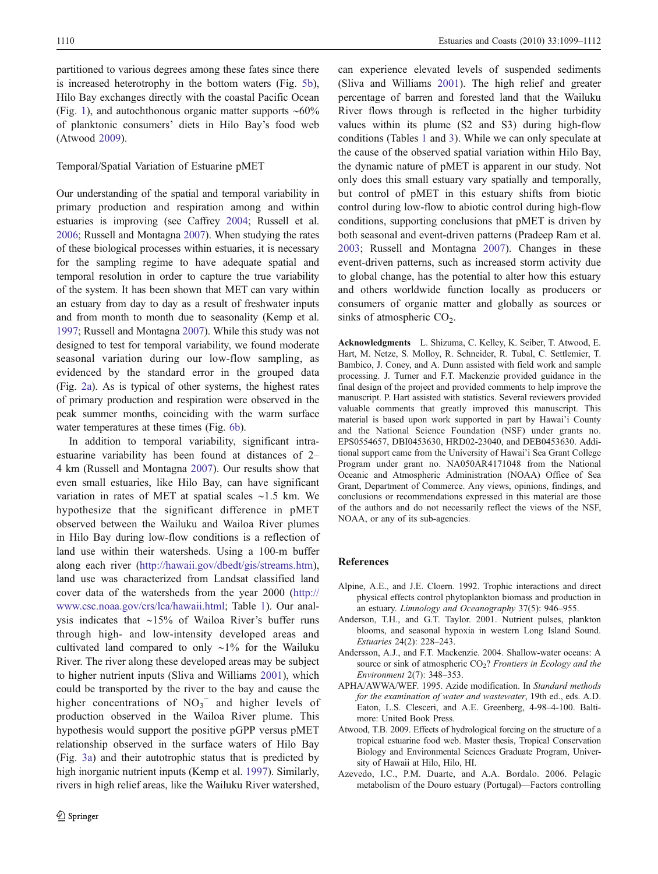<span id="page-11-0"></span>partitioned to various degrees among these fates since there is increased heterotrophy in the bottom waters (Fig. [5b](#page-7-0)), Hilo Bay exchanges directly with the coastal Pacific Ocean (Fig. [1](#page-2-0)), and autochthonous organic matter supports ∼60% of planktonic consumers' diets in Hilo Bay's food web (Atwood 2009).

# Temporal/Spatial Variation of Estuarine pMET

Our understanding of the spatial and temporal variability in primary production and respiration among and within estuaries is improving (see Caffrey [2004;](#page-12-0) Russell et al. [2006;](#page-13-0) Russell and Montagna [2007\)](#page-13-0). When studying the rates of these biological processes within estuaries, it is necessary for the sampling regime to have adequate spatial and temporal resolution in order to capture the true variability of the system. It has been shown that MET can vary within an estuary from day to day as a result of freshwater inputs and from month to month due to seasonality (Kemp et al. [1997;](#page-12-0) Russell and Montagna [2007\)](#page-13-0). While this study was not designed to test for temporal variability, we found moderate seasonal variation during our low-flow sampling, as evidenced by the standard error in the grouped data (Fig. [2a\)](#page-6-0). As is typical of other systems, the highest rates of primary production and respiration were observed in the peak summer months, coinciding with the warm surface water temperatures at these times (Fig. [6b](#page-8-0)).

In addition to temporal variability, significant intraestuarine variability has been found at distances of 2– 4 km (Russell and Montagna [2007\)](#page-13-0). Our results show that even small estuaries, like Hilo Bay, can have significant variation in rates of MET at spatial scales ∼1.5 km. We hypothesize that the significant difference in pMET observed between the Wailuku and Wailoa River plumes in Hilo Bay during low-flow conditions is a reflection of land use within their watersheds. Using a 100-m buffer along each river (<http://hawaii.gov/dbedt/gis/streams.htm>), land use was characterized from Landsat classified land cover data of the watersheds from the year 2000 ([http://](http://www.csc.noaa.gov/crs/lca/hawaii.html) [www.csc.noaa.gov/crs/lca/hawaii.html;](http://www.csc.noaa.gov/crs/lca/hawaii.html) Table [1\)](#page-2-0). Our analysis indicates that ∼15% of Wailoa River's buffer runs through high- and low-intensity developed areas and cultivated land compared to only ∼1% for the Wailuku River. The river along these developed areas may be subject to higher nutrient inputs (Sliva and Williams [2001\)](#page-13-0), which could be transported by the river to the bay and cause the higher concentrations of  $NO<sub>3</sub><sup>-</sup>$  and higher levels of production observed in the Wailoa River plume. This hypothesis would support the positive pGPP versus pMET relationship observed in the surface waters of Hilo Bay (Fig. [3a\)](#page-6-0) and their autotrophic status that is predicted by high inorganic nutrient inputs (Kemp et al. [1997](#page-12-0)). Similarly, rivers in high relief areas, like the Wailuku River watershed,

can experience elevated levels of suspended sediments (Sliva and Williams [2001](#page-13-0)). The high relief and greater percentage of barren and forested land that the Wailuku River flows through is reflected in the higher turbidity values within its plume (S2 and S3) during high-flow conditions (Tables [1](#page-2-0) and [3](#page-4-0)). While we can only speculate at the cause of the observed spatial variation within Hilo Bay, the dynamic nature of pMET is apparent in our study. Not only does this small estuary vary spatially and temporally, but control of pMET in this estuary shifts from biotic control during low-flow to abiotic control during high-flow conditions, supporting conclusions that pMET is driven by both seasonal and event-driven patterns (Pradeep Ram et al. [2003](#page-13-0); Russell and Montagna [2007\)](#page-13-0). Changes in these event-driven patterns, such as increased storm activity due to global change, has the potential to alter how this estuary and others worldwide function locally as producers or consumers of organic matter and globally as sources or sinks of atmospheric  $CO<sub>2</sub>$ .

Acknowledgments L. Shizuma, C. Kelley, K. Seiber, T. Atwood, E. Hart, M. Netze, S. Molloy, R. Schneider, R. Tubal, C. Settlemier, T. Bambico, J. Coney, and A. Dunn assisted with field work and sample processing. J. Turner and F.T. Mackenzie provided guidance in the final design of the project and provided comments to help improve the manuscript. P. Hart assisted with statistics. Several reviewers provided valuable comments that greatly improved this manuscript. This material is based upon work supported in part by Hawai'i County and the National Science Foundation (NSF) under grants no. EPS0554657, DBI0453630, HRD02-23040, and DEB0453630. Additional support came from the University of Hawai'i Sea Grant College Program under grant no. NA050AR4171048 from the National Oceanic and Atmospheric Administration (NOAA) Office of Sea Grant, Department of Commerce. Any views, opinions, findings, and conclusions or recommendations expressed in this material are those of the authors and do not necessarily reflect the views of the NSF, NOAA, or any of its sub-agencies.

### References

- Alpine, A.E., and J.E. Cloern. 1992. Trophic interactions and direct physical effects control phytoplankton biomass and production in an estuary. Limnology and Oceanography 37(5): 946–955.
- Anderson, T.H., and G.T. Taylor. 2001. Nutrient pulses, plankton blooms, and seasonal hypoxia in western Long Island Sound. Estuaries 24(2): 228–243.
- Andersson, A.J., and F.T. Mackenzie. 2004. Shallow-water oceans: A source or sink of atmospheric  $CO<sub>2</sub>$ ? Frontiers in Ecology and the Environment 2(7): 348–353.
- APHA/AWWA/WEF. 1995. Azide modification. In Standard methods for the examination of water and wastewater, 19th ed., eds. A.D. Eaton, L.S. Clesceri, and A.E. Greenberg, 4-98–4-100. Baltimore: United Book Press.
- Atwood, T.B. 2009. Effects of hydrological forcing on the structure of a tropical estuarine food web. Master thesis, Tropical Conservation Biology and Environmental Sciences Graduate Program, University of Hawaii at Hilo, Hilo, HI.
- Azevedo, I.C., P.M. Duarte, and A.A. Bordalo. 2006. Pelagic metabolism of the Douro estuary (Portugal)—Factors controlling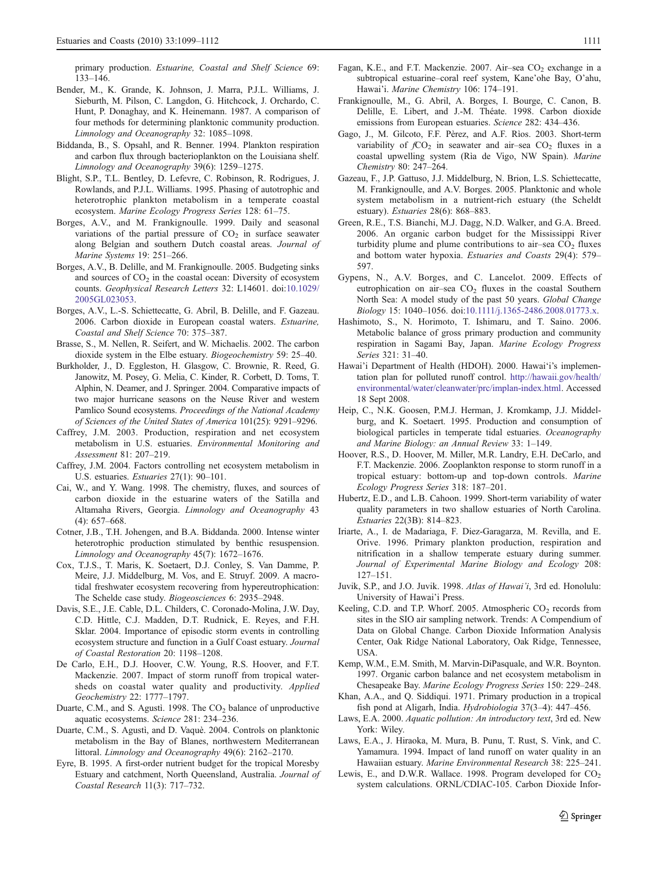<span id="page-12-0"></span>primary production. Estuarine, Coastal and Shelf Science 69: 133–146.

- Bender, M., K. Grande, K. Johnson, J. Marra, P.J.L. Williams, J. Sieburth, M. Pilson, C. Langdon, G. Hitchcock, J. Orchardo, C. Hunt, P. Donaghay, and K. Heinemann. 1987. A comparison of four methods for determining planktonic community production. Limnology and Oceanography 32: 1085–1098.
- Biddanda, B., S. Opsahl, and R. Benner. 1994. Plankton respiration and carbon flux through bacterioplankton on the Louisiana shelf. Limnology and Oceanography 39(6): 1259–1275.
- Blight, S.P., T.L. Bentley, D. Lefevre, C. Robinson, R. Rodrigues, J. Rowlands, and P.J.L. Williams. 1995. Phasing of autotrophic and heterotrophic plankton metabolism in a temperate coastal ecosystem. Marine Ecology Progress Series 128: 61–75.
- Borges, A.V., and M. Frankignoulle. 1999. Daily and seasonal variations of the partial pressure of  $CO<sub>2</sub>$  in surface seawater along Belgian and southern Dutch coastal areas. Journal of Marine Systems 19: 251–266.
- Borges, A.V., B. Delille, and M. Frankignoulle. 2005. Budgeting sinks and sources of  $CO<sub>2</sub>$  in the coastal ocean: Diversity of ecosystem counts. Geophysical Research Letters 32: L14601. doi[:10.1029/](http://dx.doi.org/10.1029/2005GL023053) [2005GL023053](http://dx.doi.org/10.1029/2005GL023053).
- Borges, A.V., L.-S. Schiettecatte, G. Abril, B. Delille, and F. Gazeau. 2006. Carbon dioxide in European coastal waters. Estuarine, Coastal and Shelf Science 70: 375–387.
- Brasse, S., M. Nellen, R. Seifert, and W. Michaelis. 2002. The carbon dioxide system in the Elbe estuary. Biogeochemistry 59: 25–40.
- Burkholder, J., D. Eggleston, H. Glasgow, C. Brownie, R. Reed, G. Janowitz, M. Posey, G. Melia, C. Kinder, R. Corbett, D. Toms, T. Alphin, N. Deamer, and J. Springer. 2004. Comparative impacts of two major hurricane seasons on the Neuse River and western Pamlico Sound ecosystems. Proceedings of the National Academy of Sciences of the United States of America 101(25): 9291–9296.
- Caffrey, J.M. 2003. Production, respiration and net ecosystem metabolism in U.S. estuaries. Environmental Monitoring and Assessment 81: 207–219.
- Caffrey, J.M. 2004. Factors controlling net ecosystem metabolism in U.S. estuaries. Estuaries 27(1): 90–101.
- Cai, W., and Y. Wang. 1998. The chemistry, fluxes, and sources of carbon dioxide in the estuarine waters of the Satilla and Altamaha Rivers, Georgia. Limnology and Oceanography 43  $(4)$ : 657–668.
- Cotner, J.B., T.H. Johengen, and B.A. Biddanda. 2000. Intense winter heterotrophic production stimulated by benthic resuspension. Limnology and Oceanography 45(7): 1672–1676.
- Cox, T.J.S., T. Maris, K. Soetaert, D.J. Conley, S. Van Damme, P. Meire, J.J. Middelburg, M. Vos, and E. Struyf. 2009. A macrotidal freshwater ecosystem recovering from hypereutrophication: The Schelde case study. Biogeosciences 6: 2935–2948.
- Davis, S.E., J.E. Cable, D.L. Childers, C. Coronado-Molina, J.W. Day, C.D. Hittle, C.J. Madden, D.T. Rudnick, E. Reyes, and F.H. Sklar. 2004. Importance of episodic storm events in controlling ecosystem structure and function in a Gulf Coast estuary. Journal of Coastal Restoration 20: 1198–1208.
- De Carlo, E.H., D.J. Hoover, C.W. Young, R.S. Hoover, and F.T. Mackenzie. 2007. Impact of storm runoff from tropical watersheds on coastal water quality and productivity. Applied Geochemistry 22: 1777–1797.
- Duarte, C.M., and S. Agusti. 1998. The  $CO<sub>2</sub>$  balance of unproductive aquatic ecosystems. Science 281: 234–236.
- Duarte, C.M., S. Agustì, and D. Vaquè. 2004. Controls on planktonic metabolism in the Bay of Blanes, northwestern Mediterranean littoral. Limnology and Oceanography 49(6): 2162–2170.
- Eyre, B. 1995. A first-order nutrient budget for the tropical Moresby Estuary and catchment, North Queensland, Australia. Journal of Coastal Research 11(3): 717–732.
- Fagan, K.E., and F.T. Mackenzie. 2007. Air-sea CO<sub>2</sub> exchange in a subtropical estuarine–coral reef system, Kane'ohe Bay, O'ahu, Hawai'i. Marine Chemistry 106: 174–191.
- Frankignoulle, M., G. Abril, A. Borges, I. Bourge, C. Canon, B. Delille, E. Libert, and J.-M. Théate. 1998. Carbon dioxide emissions from European estuaries. Science 282: 434–436.
- Gago, J., M. Gilcoto, F.F. Pèrez, and A.F. Rìos. 2003. Short-term variability of  $fCO<sub>2</sub>$  in seawater and air–sea  $CO<sub>2</sub>$  fluxes in a coastal upwelling system (Rìa de Vigo, NW Spain). Marine Chemistry 80: 247–264.
- Gazeau, F., J.P. Gattuso, J.J. Middelburg, N. Brion, L.S. Schiettecatte, M. Frankignoulle, and A.V. Borges. 2005. Planktonic and whole system metabolism in a nutrient-rich estuary (the Scheldt estuary). Estuaries 28(6): 868–883.
- Green, R.E., T.S. Bianchi, M.J. Dagg, N.D. Walker, and G.A. Breed. 2006. An organic carbon budget for the Mississippi River turbidity plume and plume contributions to air–sea  $CO<sub>2</sub>$  fluxes and bottom water hypoxia. Estuaries and Coasts 29(4): 579– 597.
- Gypens, N., A.V. Borges, and C. Lancelot. 2009. Effects of eutrophication on air–sea  $CO<sub>2</sub>$  fluxes in the coastal Southern North Sea: A model study of the past 50 years. Global Change Biology 15: 1040–1056. doi:[10.1111/j.1365-2486.2008.01773.x](http://dx.doi.org/10.1111/j.1365-2486.2008.01773.x).
- Hashimoto, S., N. Horimoto, T. Ishimaru, and T. Saino. 2006. Metabolic balance of gross primary production and community respiration in Sagami Bay, Japan. Marine Ecology Progress Series 321: 31–40.
- Hawai'i Department of Health (HDOH). 2000. Hawai'i's implementation plan for polluted runoff control. [http://hawaii.gov/health/](http://hawaii.gov/health/environmental/water/cleanwater/prc/implan-index.html) [environmental/water/cleanwater/prc/implan-index.html](http://hawaii.gov/health/environmental/water/cleanwater/prc/implan-index.html). Accessed 18 Sept 2008.
- Heip, C., N.K. Goosen, P.M.J. Herman, J. Kromkamp, J.J. Middelburg, and K. Soetaert. 1995. Production and consumption of biological particles in temperate tidal estuaries. Oceanography and Marine Biology: an Annual Review 33: 1–149.
- Hoover, R.S., D. Hoover, M. Miller, M.R. Landry, E.H. DeCarlo, and F.T. Mackenzie. 2006. Zooplankton response to storm runoff in a tropical estuary: bottom-up and top-down controls. Marine Ecology Progress Series 318: 187–201.
- Hubertz, E.D., and L.B. Cahoon. 1999. Short-term variability of water quality parameters in two shallow estuaries of North Carolina. Estuaries 22(3B): 814–823.
- Iriarte, A., I. de Madariaga, F. Diez-Garagarza, M. Revilla, and E. Orive. 1996. Primary plankton production, respiration and nitrification in a shallow temperate estuary during summer. Journal of Experimental Marine Biology and Ecology 208: 127–151.
- Juvik, S.P., and J.O. Juvik. 1998. Atlas of Hawai'i, 3rd ed. Honolulu: University of Hawai'i Press.
- Keeling, C.D. and T.P. Whorf. 2005. Atmospheric  $CO<sub>2</sub>$  records from sites in the SIO air sampling network. Trends: A Compendium of Data on Global Change. Carbon Dioxide Information Analysis Center, Oak Ridge National Laboratory, Oak Ridge, Tennessee, USA.
- Kemp, W.M., E.M. Smith, M. Marvin-DiPasquale, and W.R. Boynton. 1997. Organic carbon balance and net ecosystem metabolism in Chesapeake Bay. Marine Ecology Progress Series 150: 229–248.
- Khan, A.A., and Q. Siddiqui. 1971. Primary production in a tropical fish pond at Aligarh, India. Hydrobiologia 37(3–4): 447–456.
- Laws, E.A. 2000. Aquatic pollution: An introductory text, 3rd ed. New York: Wiley.
- Laws, E.A., J. Hiraoka, M. Mura, B. Punu, T. Rust, S. Vink, and C. Yamamura. 1994. Impact of land runoff on water quality in an Hawaiian estuary. Marine Environmental Research 38: 225–241.
- Lewis, E., and D.W.R. Wallace. 1998. Program developed for  $CO<sub>2</sub>$ system calculations. ORNL/CDIAC-105. Carbon Dioxide Infor-